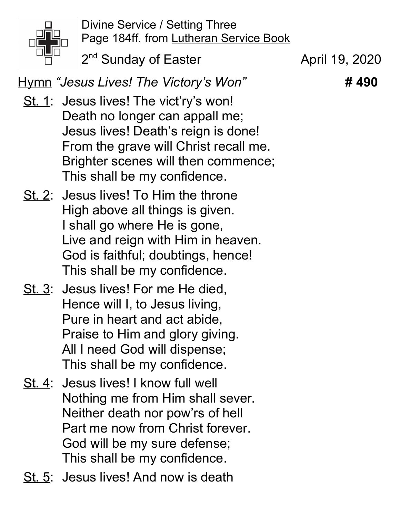

Divine Service / Setting Three Page 184ff. from Lutheran Service Book

2<sup>nd</sup> Sunday of Easter **April 19, 2020** 

Hymn "Jesus Lives! The Victory's Won" #490

- St. 1: Jesus lives! The vict'ry's won! Death no longer can appall me; Jesus lives! Death's reign is done! From the grave will Christ recall me. Brighter scenes will then commence; This shall be my confidence.
- St. 2: Jesus lives! To Him the throne High above all things is given. I shall go where He is gone, Live and reign with Him in heaven. God is faithful; doubtings, hence! This shall be my confidence.
- St. 3: Jesus lives! For me He died, Hence will I, to Jesus living, Pure in heart and act abide, Praise to Him and glory giving. All I need God will dispense; This shall be my confidence.
- St. 4: Jesus lives! I know full well Nothing me from Him shall sever. Neither death nor pow'rs of hell Part me now from Christ forever. God will be my sure defense; This shall be my confidence.
- St. 5: Jesus lives! And now is death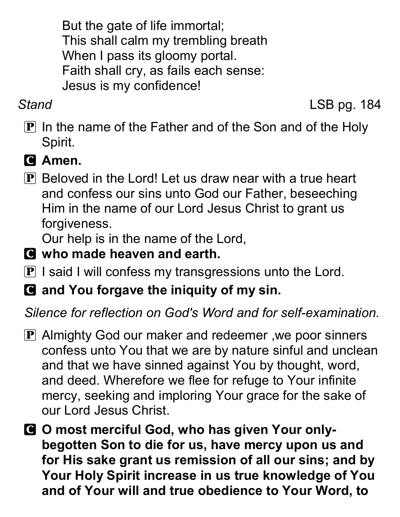But the gate of life immortal; This shall calm my trembling breath When I pass its gloomy portal. Faith shall cry, as fails each sense: Jesus is my confidence!

Stand LSB pg. 184

- $\mathbf P$  In the name of the Father and of the Son and of the Holy Spirit.
- C Amen.
- P Beloved in the Lord! Let us draw near with a true heart and confess our sins unto God our Father, beseeching Him in the name of our Lord Jesus Christ to grant us forgiveness.

Our help is in the name of the Lord,

- C who made heaven and earth.
- $\mathbf P$  I said I will confess my transgressions unto the Lord.
- C and You forgave the iniquity of my sin.

Silence for reflection on God's Word and for self-examination.

- P Almighty God our maker and redeemer, we poor sinners confess unto You that we are by nature sinful and unclean and that we have sinned against You by thought, word, and deed. Wherefore we flee for refuge to Your infinite mercy, seeking and imploring Your grace for the sake of our Lord Jesus Christ.
- C O most merciful God, who has given Your onlybegotten Son to die for us, have mercy upon us and for His sake grant us remission of all our sins; and by Your Holy Spirit increase in us true knowledge of You and of Your will and true obedience to Your Word, to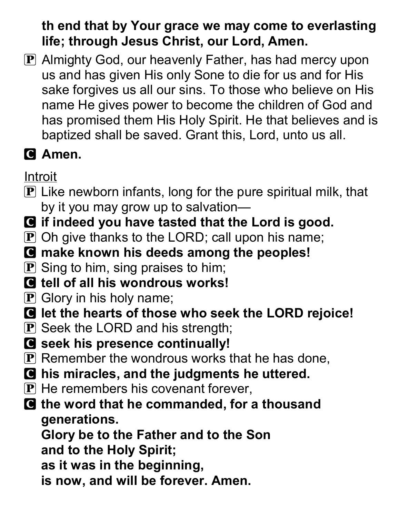## th end that by Your grace we may come to everlasting life; through Jesus Christ, our Lord, Amen.

P Almighty God, our heavenly Father, has had mercy upon us and has given His only Sone to die for us and for His sake forgives us all our sins. To those who believe on His name He gives power to become the children of God and has promised them His Holy Spirit. He that believes and is baptized shall be saved. Grant this, Lord, unto us all.

# **G** Amen.

**Introit** 

- $\mathbf P$  Like newborn infants, long for the pure spiritual milk, that by it you may grow up to salvation—
- C if indeed you have tasted that the Lord is good.
- $\mathbf P$  Oh give thanks to the LORD; call upon his name;
- C make known his deeds among the peoples!
- $\mathbf{P}$  Sing to him, sing praises to him;
- C tell of all his wondrous works!
- $\mathbf{P}$  Glory in his holy name;
- C let the hearts of those who seek the LORD rejoice!
- **P** Seek the LORD and his strength;
- G seek his presence continually!
- $\bf{P}$  Remember the wondrous works that he has done,
- C his miracles, and the judgments he uttered.
- $\mathbf{P}$  He remembers his covenant forever,
- **Q** the word that he commanded, for a thousand generations.

Glory be to the Father and to the Son and to the Holy Spirit;

- as it was in the beginning,
- is now, and will be forever. Amen.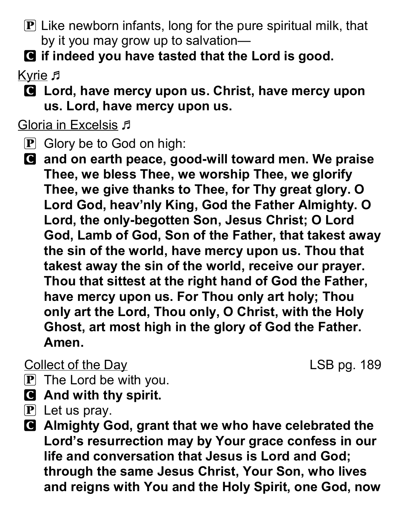- $\bf{P}$  Like newborn infants, long for the pure spiritual milk, that by it you may grow up to salvation—
- C if indeed you have tasted that the Lord is good.

Kyrie F

C Lord, have mercy upon us. Christ, have mercy upon us. Lord, have mercy upon us.

Gloria in Excelsis  $\sqrt{1}$ 

- **P** Glory be to God on high:
- C and on earth peace, good-will toward men. We praise Thee, we bless Thee, we worship Thee, we glorify Thee, we give thanks to Thee, for Thy great glory. O Lord God, heav'nly King, God the Father Almighty. O Lord, the only-begotten Son, Jesus Christ; O Lord God, Lamb of God, Son of the Father, that takest away the sin of the world, have mercy upon us. Thou that takest away the sin of the world, receive our prayer. Thou that sittest at the right hand of God the Father, have mercy upon us. For Thou only art holy; Thou only art the Lord, Thou only, O Christ, with the Holy Ghost, art most high in the glory of God the Father. Amen.

**Collect of the Day Collect of the Day** 

- $\mathbf{P}$  The Lord be with you.
- C And with thy spirit.
- $\mathbf{P}$  Let us pray.
- C Almighty God, grant that we who have celebrated the Lord's resurrection may by Your grace confess in our life and conversation that Jesus is Lord and God; through the same Jesus Christ, Your Son, who lives and reigns with You and the Holy Spirit, one God, now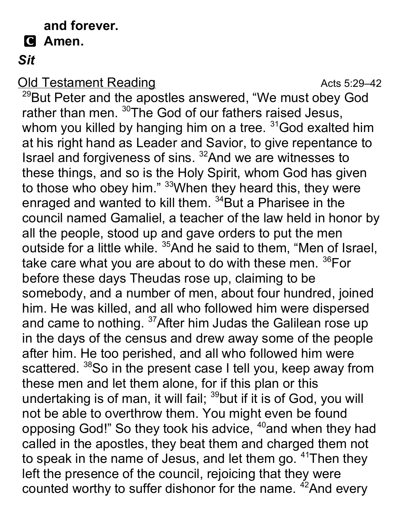## and forever.

## **G** Amen.

## Sit

**Old Testament Reading Contract Contract Acts 5:29–42** 

<sup>29</sup>But Peter and the apostles answered, "We must obey God rather than men. <sup>30</sup>The God of our fathers raised Jesus, whom you killed by hanging him on a tree. <sup>31</sup>God exalted him at his right hand as Leader and Savior, to give repentance to Israel and forgiveness of sins. <sup>32</sup>And we are witnesses to these things, and so is the Holy Spirit, whom God has given to those who obey him." <sup>33</sup> When they heard this, they were enraged and wanted to kill them. <sup>34</sup>But a Pharisee in the council named Gamaliel, a teacher of the law held in honor by all the people, stood up and gave orders to put the men outside for a little while. <sup>35</sup>And he said to them, "Men of Israel, take care what you are about to do with these men. <sup>36</sup>For before these days Theudas rose up, claiming to be somebody, and a number of men, about four hundred, joined him. He was killed, and all who followed him were dispersed and came to nothing. <sup>37</sup> After him Judas the Galilean rose up in the days of the census and drew away some of the people after him. He too perished, and all who followed him were scattered. <sup>38</sup>So in the present case I tell you, keep away from these men and let them alone, for if this plan or this undertaking is of man, it will fail; <sup>39</sup>but if it is of God, you will not be able to overthrow them. You might even be found opposing God!" So they took his advice, <sup>40</sup>and when they had called in the apostles, they beat them and charged them not to speak in the name of Jesus, and let them go. <sup>41</sup>Then they left the presence of the council, rejoicing that they were counted worthy to suffer dishonor for the name. <sup>42</sup>And every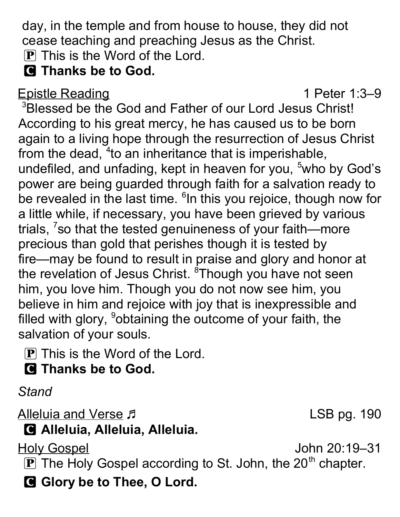day, in the temple and from house to house, they did not cease teaching and preaching Jesus as the Christ.

 $\bf{P}$  This is the Word of the Lord.

**G** Thanks be to God.

## Epistle Reading 1 Peter 1:3–9

<sup>3</sup>Blessed be the God and Father of our Lord Jesus Christ! According to his great mercy, he has caused us to be born again to a living hope through the resurrection of Jesus Christ from the dead,  $4$  to an inheritance that is imperishable, undefiled, and unfading, kept in heaven for you,  $5$ who by God's power are being guarded through faith for a salvation ready to be revealed in the last time. <sup>6</sup>In this you rejoice, though now for a little while, if necessary, you have been grieved by various trials, <sup>7</sup>so that the tested genuineness of your faith—more precious than gold that perishes though it is tested by fire—may be found to result in praise and glory and honor at the revelation of Jesus Christ. <sup>8</sup>Though you have not seen him, you love him. Though you do not now see him, you believe in him and rejoice with joy that is inexpressible and filled with glory, <sup>9</sup>obtaining the outcome of your faith, the salvation of your souls.

- P This is the Word of the Lord.
- **Q** Thanks be to God.

**Stand** 

Alleluia and Verse F C Alleluia, Alleluia, Alleluia.

Holy Gospel John 20:19–31

 $\bf{P}$  The Holy Gospel according to St. John, the 20<sup>th</sup> chapter.

G Glory be to Thee, O Lord.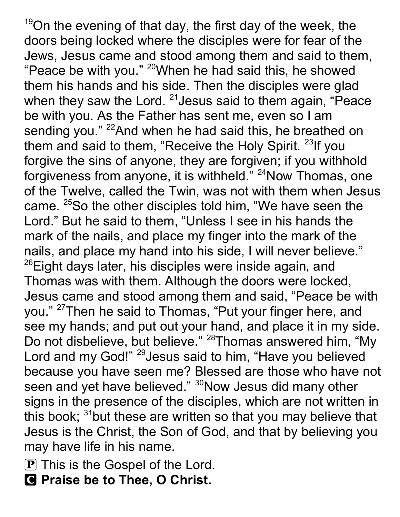$19$ On the evening of that day, the first day of the week, the doors being locked where the disciples were for fear of the Jews, Jesus came and stood among them and said to them, "Peace be with you."  $20$ When he had said this, he showed them his hands and his side. Then the disciples were glad when they saw the Lord.  $21$  Jesus said to them again, "Peace be with you. As the Father has sent me, even so I am sending you." <sup>22</sup>And when he had said this, he breathed on them and said to them, "Receive the Holy Spirit.  $23$ If you forgive the sins of anyone, they are forgiven; if you withhold forgiveness from anyone, it is withheld." <sup>24</sup>Now Thomas, one of the Twelve, called the Twin, was not with them when Jesus came. <sup>25</sup>So the other disciples told him, "We have seen the Lord." But he said to them, "Unless I see in his hands the mark of the nails, and place my finger into the mark of the nails, and place my hand into his side, I will never believe."  $^{26}$ Eight days later, his disciples were inside again, and Thomas was with them. Although the doors were locked, Jesus came and stood among them and said, "Peace be with you." <sup>27</sup>Then he said to Thomas, "Put your finger here, and see my hands; and put out your hand, and place it in my side. Do not disbelieve, but believe." <sup>28</sup>Thomas answered him, "My Lord and my God!" <sup>29</sup> Jesus said to him, "Have you believed because you have seen me? Blessed are those who have not seen and yet have believed." <sup>30</sup>Now Jesus did many other signs in the presence of the disciples, which are not written in this book;  $31$  but these are written so that you may believe that Jesus is the Christ, the Son of God, and that by believing you may have life in his name.

- $\bf{P}$  This is the Gospel of the Lord.
- C Praise be to Thee, O Christ.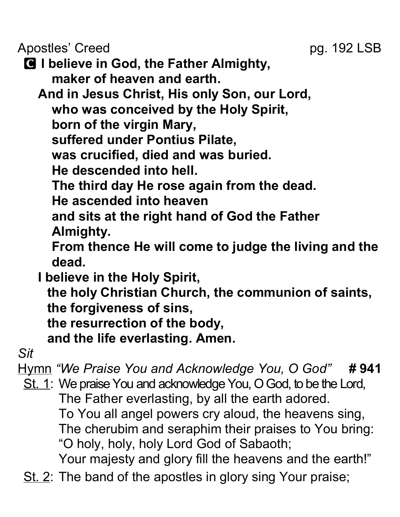Apostles' Creed pg. 192 LSB

C I believe in God, the Father Almighty, maker of heaven and earth.

And in Jesus Christ, His only Son, our Lord, who was conceived by the Holy Spirit, born of the virgin Mary, suffered under Pontius Pilate, was crucified, died and was buried. He descended into hell. The third day He rose again from the dead.

He ascended into heaven

and sits at the right hand of God the Father Almighty.

From thence He will come to judge the living and the dead.

I believe in the Holy Spirit, the holy Christian Church, the communion of saints, the forgiveness of sins, the resurrection of the body,

and the life everlasting. Amen.

Sit

Hymn "We Praise You and Acknowledge You, O God" # 941 St. 1: We praise You and acknowledge You, O God, to be the Lord, The Father everlasting, by all the earth adored.

To You all angel powers cry aloud, the heavens sing, The cherubim and seraphim their praises to You bring: "O holy, holy, holy Lord God of Sabaoth;

Your majesty and glory fill the heavens and the earth!"

St. 2: The band of the apostles in glory sing Your praise;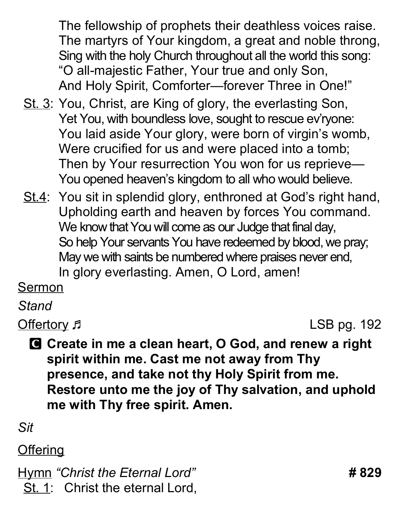The fellowship of prophets their deathless voices raise. The martyrs of Your kingdom, a great and noble throng, Sing with the holy Church throughout all the world this song: "O all-majestic Father, Your true and only Son, And Holy Spirit, Comforter—forever Three in One!"

- St. 3: You, Christ, are King of glory, the everlasting Son, Yet You, with boundless love, sought to rescue ev'ryone: You laid aside Your glory, were born of virgin's womb, Were crucified for us and were placed into a tomb; Then by Your resurrection You won for us reprieve— You opened heaven's kingdom to all who would believe.
- St.4: You sit in splendid glory, enthroned at God's right hand, Upholding earth and heaven by forces You command. We know that You will come as our Judge that final day, So help Your servants You have redeemed by blood, we pray; May we with saints be numbered where praises never end, In glory everlasting. Amen, O Lord, amen!

Sermon

**Stand** 

Offertory  $\sqrt{2}$  Defertory  $\sqrt{2}$  Defertory  $\sqrt{2}$  Defertory  $\sqrt{2}$ 

C Create in me a clean heart, O God, and renew a right spirit within me. Cast me not away from Thy presence, and take not thy Holy Spirit from me. Restore unto me the joy of Thy salvation, and uphold me with Thy free spirit. Amen.

Sit

## **Offering**

Hymn "Christ the Eternal Lord" **#829** St. 1: Christ the eternal Lord,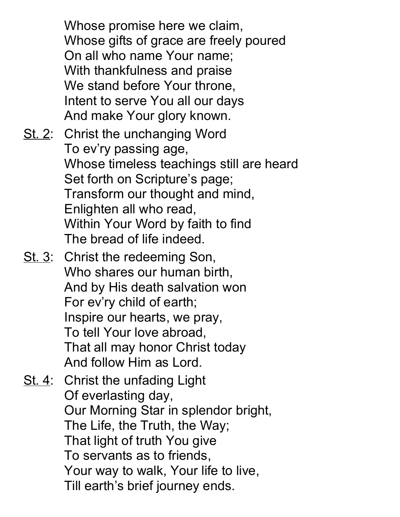Whose promise here we claim, Whose gifts of grace are freely poured On all who name Your name; With thankfulness and praise We stand before Your throne, Intent to serve You all our days And make Your glory known. St. 2: Christ the unchanging Word To ev'ry passing age, Whose timeless teachings still are heard Set forth on Scripture's page;

Transform our thought and mind, Enlighten all who read, Within Your Word by faith to find

The bread of life indeed.

St. 3: Christ the redeeming Son, Who shares our human birth, And by His death salvation won For ev'ry child of earth; Inspire our hearts, we pray, To tell Your love abroad, That all may honor Christ today And follow Him as Lord.

St. 4: Christ the unfading Light Of everlasting day, Our Morning Star in splendor bright, The Life, the Truth, the Way; That light of truth You give To servants as to friends, Your way to walk, Your life to live, Till earth's brief journey ends.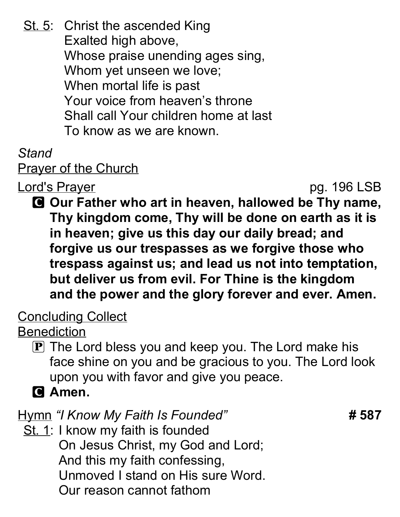St. 5: Christ the ascended King Exalted high above, Whose praise unending ages sing, Whom yet unseen we love; When mortal life is past Your voice from heaven's throne Shall call Your children home at last To know as we are known.

## Stand

**Prayer of the Church** 

Lord's Prayer pg. 196 LSB

C Our Father who art in heaven, hallowed be Thy name, Thy kingdom come, Thy will be done on earth as it is in heaven; give us this day our daily bread; and forgive us our trespasses as we forgive those who trespass against us; and lead us not into temptation, but deliver us from evil. For Thine is the kingdom and the power and the glory forever and ever. Amen.

Concluding Collect

**Benediction** 

- $\boxed{\mathbf{P}}$  The Lord bless you and keep you. The Lord make his face shine on you and be gracious to you. The Lord look upon you with favor and give you peace.
- **G** Amen.

Hymn "I Know My Faith Is Founded" **# 587** 

St. 1: I know my faith is founded On Jesus Christ, my God and Lord; And this my faith confessing, Unmoved I stand on His sure Word. Our reason cannot fathom